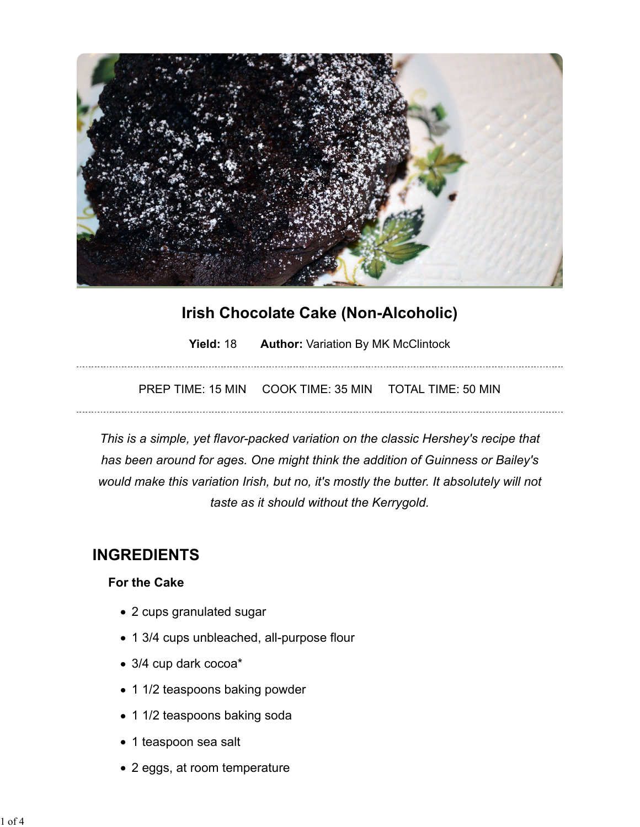

# **Irish Chocolate Cake (Non-Alcoholic)**

**Yield: 18 •• Author: Variation By MK McClintock** 

PREP TIME: 15 MIN COOK TIME: 35 MIN TOTAL TIME: 50 MIN

*This is a simple, yet flavor-packed variation on the classic Hershey's recipe that has been around for ages. One might think the addition of Guinness or Bailey's would make this variation Irish, but no, it's mostly the butter. It absolutely will not taste as it should without the Kerrygold.*

# **INGREDIENTS**

### **For the Cake**

- 2 cups granulated sugar
- 1 3/4 cups unbleached, all-purpose flour
- 3/4 cup dark cocoa\*
- 1 1/2 teaspoons baking powder
- 1 1/2 teaspoons baking soda
- 1 teaspoon sea salt
- 2 eggs, at room temperature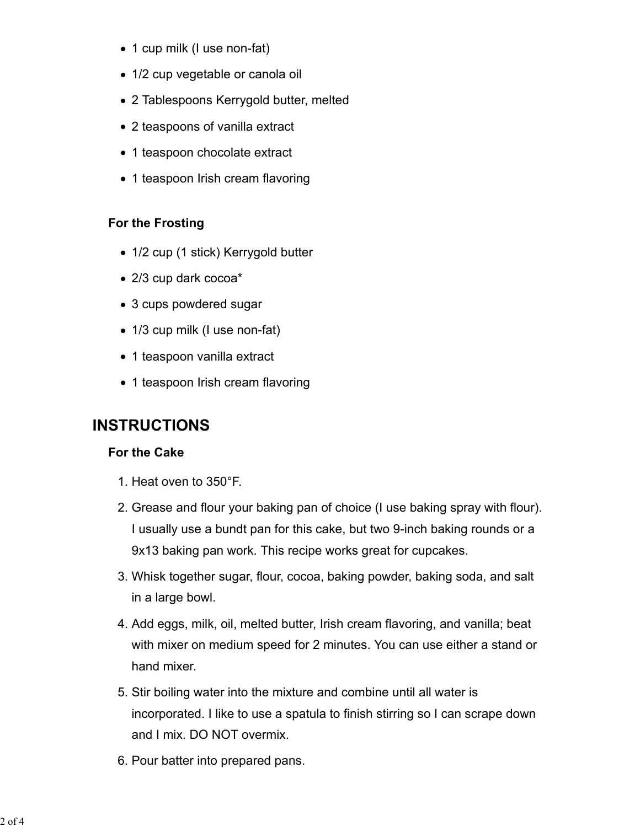- 1 cup milk (I use non-fat)
- 1/2 cup vegetable or canola oil
- 2 Tablespoons Kerrygold butter, melted
- 2 teaspoons of vanilla extract
- 1 teaspoon chocolate extract
- 1 teaspoon Irish cream flavoring

## **For the Frosting**

- 1/2 cup (1 stick) Kerrygold butter
- 2/3 cup dark cocoa\*
- 3 cups powdered sugar
- 1/3 cup milk (I use non-fat)
- 1 teaspoon vanilla extract
- 1 teaspoon Irish cream flavoring

# **INSTRUCTIONS**

## **For the Cake**

- 1. Heat oven to 350°F.
- 2. Grease and flour your baking pan of choice (I use baking spray with flour). I usually use a bundt pan for this cake, but two 9-inch baking rounds or a 9x13 baking pan work. This recipe works great for cupcakes.
- 3. Whisk together sugar, flour, cocoa, baking powder, baking soda, and salt in a large bowl.
- 4. Add eggs, milk, oil, melted butter, Irish cream flavoring, and vanilla; beat with mixer on medium speed for 2 minutes. You can use either a stand or hand mixer.
- 5. Stir boiling water into the mixture and combine until all water is incorporated. I like to use a spatula to finish stirring so I can scrape down and I mix. DO NOT overmix.
- 6. Pour batter into prepared pans.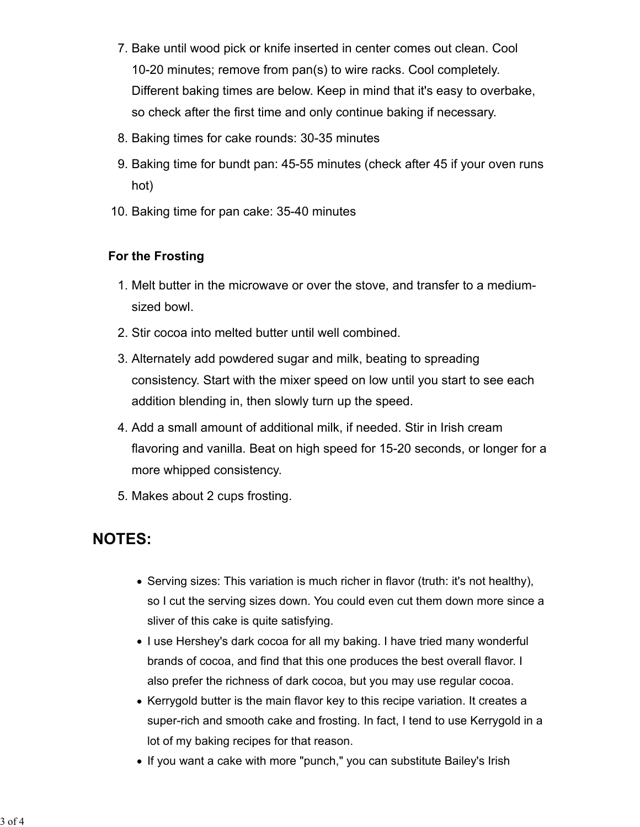- 7. Bake until wood pick or knife inserted in center comes out clean. Cool 10-20 minutes; remove from pan(s) to wire racks. Cool completely. Different baking times are below. Keep in mind that it's easy to overbake, so check after the first time and only continue baking if necessary.
- 8. Baking times for cake rounds: 30-35 minutes
- 9. Baking time for bundt pan: 45-55 minutes (check after 45 if your oven runs hot)
- 10. Baking time for pan cake: 35-40 minutes

### **For the Frosting**

- 1. Melt butter in the microwave or over the stove, and transfer to a mediumsized bowl.
- 2. Stir cocoa into melted butter until well combined.
- 3. Alternately add powdered sugar and milk, beating to spreading consistency. Start with the mixer speed on low until you start to see each addition blending in, then slowly turn up the speed.
- 4. Add a small amount of additional milk, if needed. Stir in Irish cream flavoring and vanilla. Beat on high speed for 15-20 seconds, or longer for a more whipped consistency.
- 5. Makes about 2 cups frosting.

# **NOTES:**

- $\bullet$  Serving sizes: This variation is much richer in flavor (truth: it's not healthy), so I cut the serving sizes down. You could even cut them down more since a sliver of this cake is quite satisfying.
- I use Hershey's dark cocoa for all my baking. I have tried many wonderful brands of cocoa, and find that this one produces the best overall flavor. I also prefer the richness of dark cocoa, but you may use regular cocoa.
- Kerrygold butter is the main flavor key to this recipe variation. It creates a super-rich and smooth cake and frosting. In fact, I tend to use Kerrygold in a lot of my baking recipes for that reason.
- If you want a cake with more "punch," you can substitute Bailey's Irish